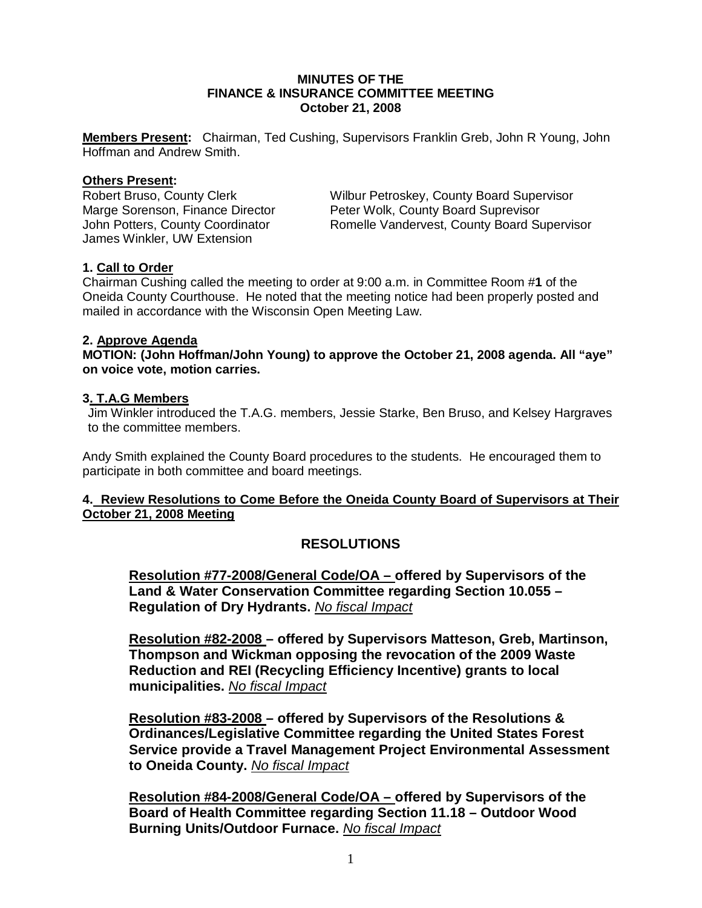## **MINUTES OF THE FINANCE & INSURANCE COMMITTEE MEETING October 21, 2008**

**Members Present:** Chairman, Ted Cushing, Supervisors Franklin Greb, John R Young, John Hoffman and Andrew Smith.

#### **Others Present:**

James Winkler, UW Extension

Robert Bruso, County Clerk Wilbur Petroskey, County Board Supervisor<br>
Marge Sorenson, Finance Director Peter Wolk, County Board Suprevisor Marge Sorenson, Finance Director Fundeller Wolk, County Board Suprevisor<br>John Potters, County Coordinator Romelle Vandervest, County Board Su Romelle Vandervest, County Board Supervisor

### **1. Call to Order**

Chairman Cushing called the meeting to order at 9:00 a.m. in Committee Room #**1** of the Oneida County Courthouse. He noted that the meeting notice had been properly posted and mailed in accordance with the Wisconsin Open Meeting Law.

### **2. Approve Agenda**

**MOTION: (John Hoffman/John Young) to approve the October 21, 2008 agenda. All "aye" on voice vote, motion carries.** 

### **3. T.A.G Members**

Jim Winkler introduced the T.A.G. members, Jessie Starke, Ben Bruso, and Kelsey Hargraves to the committee members.

Andy Smith explained the County Board procedures to the students. He encouraged them to participate in both committee and board meetings.

## **4. Review Resolutions to Come Before the Oneida County Board of Supervisors at Their October 21, 2008 Meeting**

# **RESOLUTIONS**

**Resolution #77-2008/General Code/OA – offered by Supervisors of the Land & Water Conservation Committee regarding Section 10.055 – Regulation of Dry Hydrants.** *No fiscal Impact*

**Resolution #82-2008 – offered by Supervisors Matteson, Greb, Martinson, Thompson and Wickman opposing the revocation of the 2009 Waste Reduction and REI (Recycling Efficiency Incentive) grants to local municipalities.** *No fiscal Impact*

**Resolution #83-2008 – offered by Supervisors of the Resolutions & Ordinances/Legislative Committee regarding the United States Forest Service provide a Travel Management Project Environmental Assessment to Oneida County.** *No fiscal Impact*

**Resolution #84-2008/General Code/OA – offered by Supervisors of the Board of Health Committee regarding Section 11.18 – Outdoor Wood Burning Units/Outdoor Furnace.** *No fiscal Impact*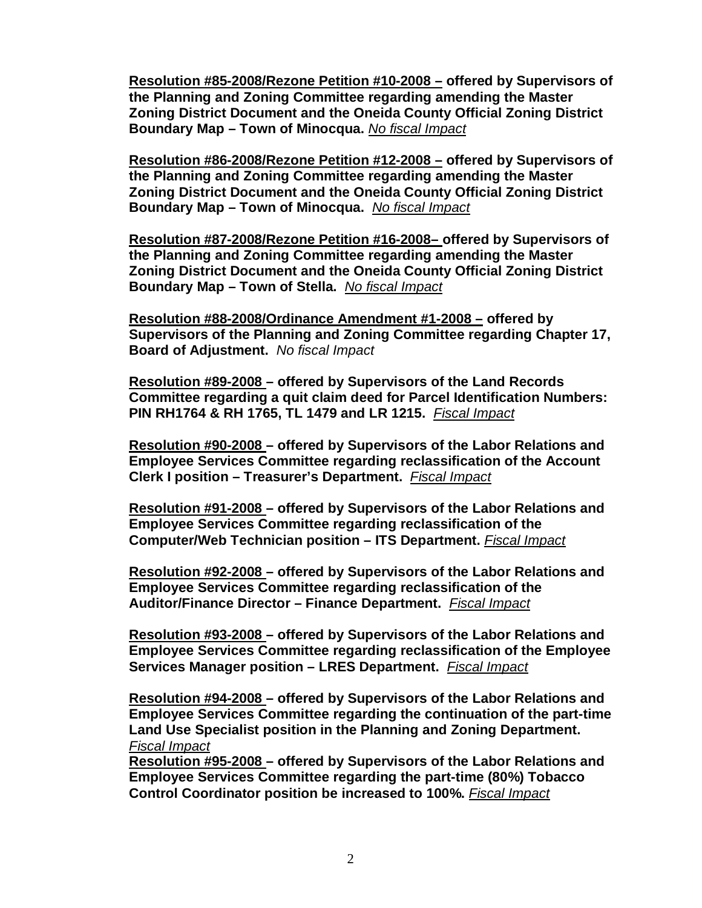**Resolution #85-2008/Rezone Petition #10-2008 – offered by Supervisors of the Planning and Zoning Committee regarding amending the Master Zoning District Document and the Oneida County Official Zoning District Boundary Map – Town of Minocqua.** *No fiscal Impact*

**Resolution #86-2008/Rezone Petition #12-2008 – offered by Supervisors of the Planning and Zoning Committee regarding amending the Master Zoning District Document and the Oneida County Official Zoning District Boundary Map – Town of Minocqua.** *No fiscal Impact*

**Resolution #87-2008/Rezone Petition #16-2008– offered by Supervisors of the Planning and Zoning Committee regarding amending the Master Zoning District Document and the Oneida County Official Zoning District Boundary Map – Town of Stella.** *No fiscal Impact*

**Resolution #88-2008/Ordinance Amendment #1-2008 – offered by Supervisors of the Planning and Zoning Committee regarding Chapter 17, Board of Adjustment.** *No fiscal Impact* 

**Resolution #89-2008 – offered by Supervisors of the Land Records Committee regarding a quit claim deed for Parcel Identification Numbers: PIN RH1764 & RH 1765, TL 1479 and LR 1215.** *Fiscal Impact*

**Resolution #90-2008 – offered by Supervisors of the Labor Relations and Employee Services Committee regarding reclassification of the Account Clerk I position – Treasurer's Department.** *Fiscal Impact*

**Resolution #91-2008 – offered by Supervisors of the Labor Relations and Employee Services Committee regarding reclassification of the Computer/Web Technician position – ITS Department.** *Fiscal Impact*

**Resolution #92-2008 – offered by Supervisors of the Labor Relations and Employee Services Committee regarding reclassification of the Auditor/Finance Director – Finance Department.** *Fiscal Impact*

**Resolution #93-2008 – offered by Supervisors of the Labor Relations and Employee Services Committee regarding reclassification of the Employee Services Manager position – LRES Department.** *Fiscal Impact*

**Resolution #94-2008 – offered by Supervisors of the Labor Relations and Employee Services Committee regarding the continuation of the part-time Land Use Specialist position in the Planning and Zoning Department.**  *Fiscal Impact*

**Resolution #95-2008 – offered by Supervisors of the Labor Relations and Employee Services Committee regarding the part-time (80%) Tobacco Control Coordinator position be increased to 100%.** *Fiscal Impact*